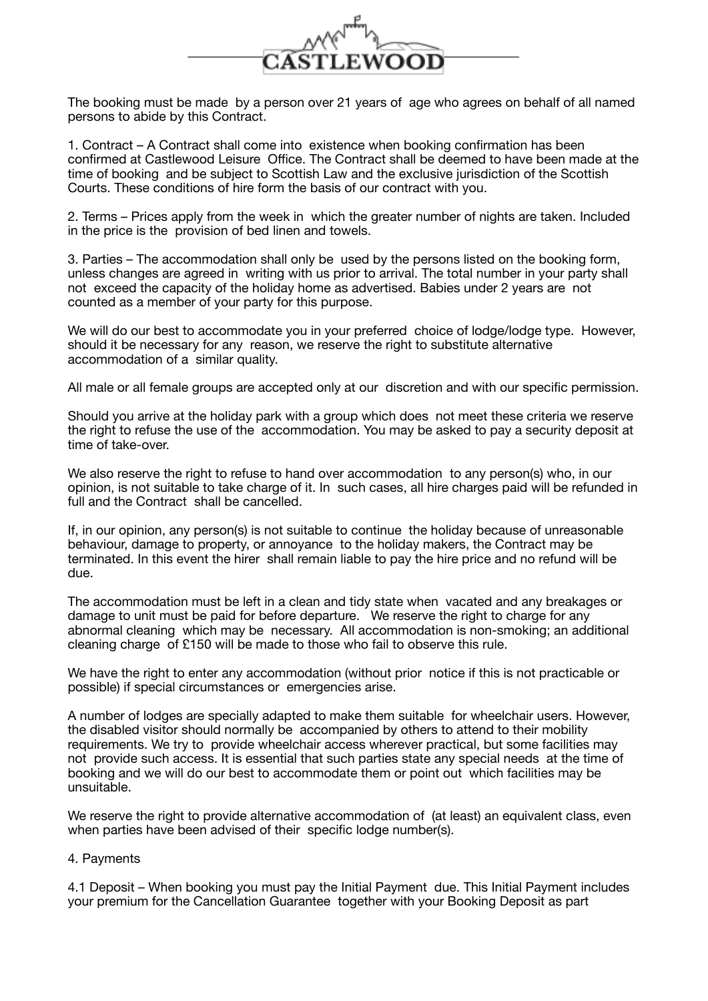

The booking must be made by a person over 21 years of age who agrees on behalf of all named persons to abide by this Contract.

1. Contract – A Contract shall come into existence when booking confirmation has been confirmed at Castlewood Leisure Office. The Contract shall be deemed to have been made at the time of booking and be subject to Scottish Law and the exclusive jurisdiction of the Scottish Courts. These conditions of hire form the basis of our contract with you.

2. Terms – Prices apply from the week in which the greater number of nights are taken. Included in the price is the provision of bed linen and towels.

3. Parties – The accommodation shall only be used by the persons listed on the booking form, unless changes are agreed in writing with us prior to arrival. The total number in your party shall not exceed the capacity of the holiday home as advertised. Babies under 2 years are not counted as a member of your party for this purpose.

We will do our best to accommodate you in your preferred choice of lodge/lodge type. However, should it be necessary for any reason, we reserve the right to substitute alternative accommodation of a similar quality.

All male or all female groups are accepted only at our discretion and with our specific permission.

Should you arrive at the holiday park with a group which does not meet these criteria we reserve the right to refuse the use of the accommodation. You may be asked to pay a security deposit at time of take-over.

We also reserve the right to refuse to hand over accommodation to any person(s) who, in our opinion, is not suitable to take charge of it. In such cases, all hire charges paid will be refunded in full and the Contract shall be cancelled.

If, in our opinion, any person(s) is not suitable to continue the holiday because of unreasonable behaviour, damage to property, or annoyance to the holiday makers, the Contract may be terminated. In this event the hirer shall remain liable to pay the hire price and no refund will be due.

The accommodation must be left in a clean and tidy state when vacated and any breakages or damage to unit must be paid for before departure. We reserve the right to charge for any abnormal cleaning which may be necessary. All accommodation is non-smoking; an additional cleaning charge of £150 will be made to those who fail to observe this rule.

We have the right to enter any accommodation (without prior notice if this is not practicable or possible) if special circumstances or emergencies arise.

A number of lodges are specially adapted to make them suitable for wheelchair users. However, the disabled visitor should normally be accompanied by others to attend to their mobility requirements. We try to provide wheelchair access wherever practical, but some facilities may not provide such access. It is essential that such parties state any special needs at the time of booking and we will do our best to accommodate them or point out which facilities may be unsuitable.

We reserve the right to provide alternative accommodation of (at least) an equivalent class, even when parties have been advised of their specific lodge number(s).

## 4. Payments

4.1 Deposit – When booking you must pay the Initial Payment due. This Initial Payment includes your premium for the Cancellation Guarantee together with your Booking Deposit as part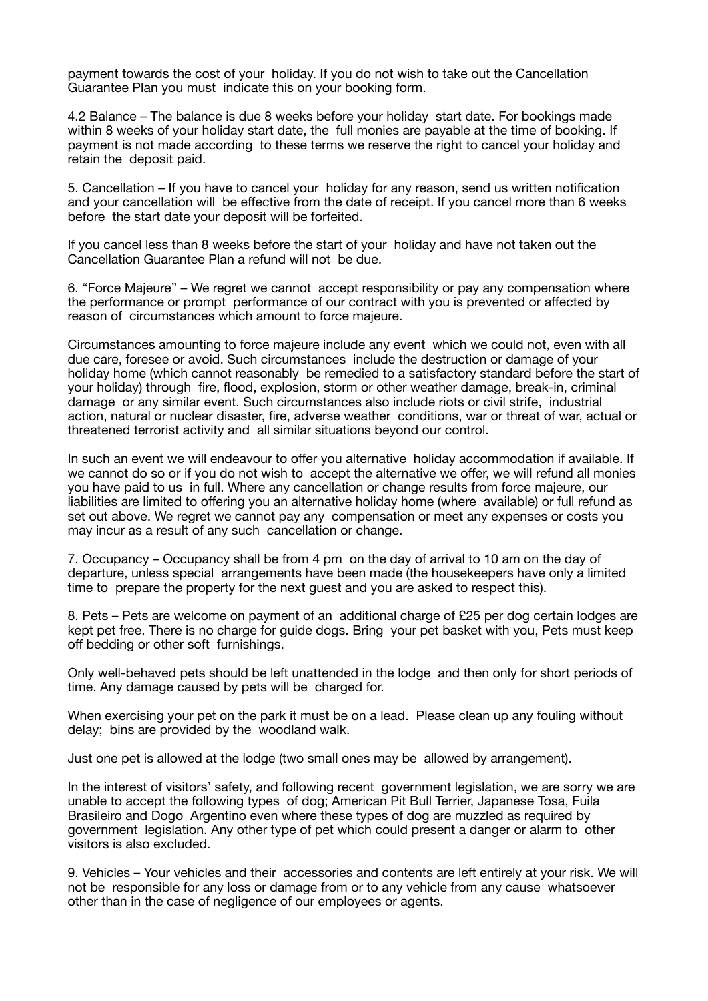payment towards the cost of your holiday. If you do not wish to take out the Cancellation Guarantee Plan you must indicate this on your booking form.

4.2 Balance – The balance is due 8 weeks before your holiday start date. For bookings made within 8 weeks of your holiday start date, the full monies are payable at the time of booking. If payment is not made according to these terms we reserve the right to cancel your holiday and retain the deposit paid.

5. Cancellation – If you have to cancel your holiday for any reason, send us written notification and your cancellation will be effective from the date of receipt. If you cancel more than 6 weeks before the start date your deposit will be forfeited.

If you cancel less than 8 weeks before the start of your holiday and have not taken out the Cancellation Guarantee Plan a refund will not be due.

6. "Force Majeure" – We regret we cannot accept responsibility or pay any compensation where the performance or prompt performance of our contract with you is prevented or affected by reason of circumstances which amount to force majeure.

Circumstances amounting to force majeure include any event which we could not, even with all due care, foresee or avoid. Such circumstances include the destruction or damage of your holiday home (which cannot reasonably be remedied to a satisfactory standard before the start of your holiday) through fire, flood, explosion, storm or other weather damage, break-in, criminal damage or any similar event. Such circumstances also include riots or civil strife, industrial action, natural or nuclear disaster, fire, adverse weather conditions, war or threat of war, actual or threatened terrorist activity and all similar situations beyond our control.

In such an event we will endeavour to offer you alternative holiday accommodation if available. If we cannot do so or if you do not wish to accept the alternative we offer, we will refund all monies you have paid to us in full. Where any cancellation or change results from force majeure, our liabilities are limited to offering you an alternative holiday home (where available) or full refund as set out above. We regret we cannot pay any compensation or meet any expenses or costs you may incur as a result of any such cancellation or change.

7. Occupancy – Occupancy shall be from 4 pm on the day of arrival to 10 am on the day of departure, unless special arrangements have been made (the housekeepers have only a limited time to prepare the property for the next guest and you are asked to respect this).

8. Pets – Pets are welcome on payment of an additional charge of £25 per dog certain lodges are kept pet free. There is no charge for guide dogs. Bring your pet basket with you, Pets must keep off bedding or other soft furnishings.

Only well-behaved pets should be left unattended in the lodge and then only for short periods of time. Any damage caused by pets will be charged for.

When exercising your pet on the park it must be on a lead. Please clean up any fouling without delay; bins are provided by the woodland walk.

Just one pet is allowed at the lodge (two small ones may be allowed by arrangement).

In the interest of visitors' safety, and following recent government legislation, we are sorry we are unable to accept the following types of dog; American Pit Bull Terrier, Japanese Tosa, Fuila Brasileiro and Dogo Argentino even where these types of dog are muzzled as required by government legislation. Any other type of pet which could present a danger or alarm to other visitors is also excluded.

9. Vehicles – Your vehicles and their accessories and contents are left entirely at your risk. We will not be responsible for any loss or damage from or to any vehicle from any cause whatsoever other than in the case of negligence of our employees or agents.